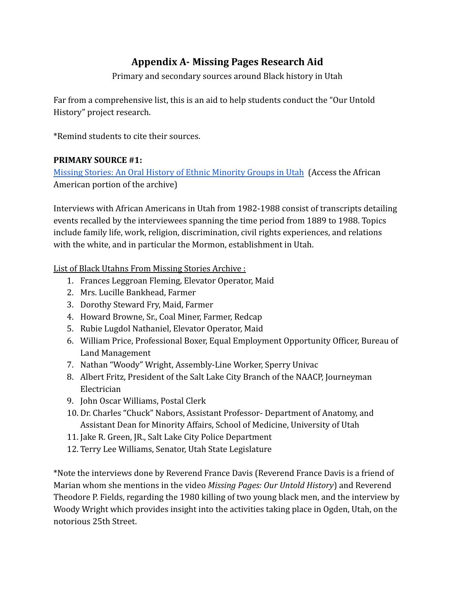# **Appendix A- Missing Pages Research Aid**

Primary and secondary sources around Black history in Utah

Far from a comprehensive list, this is an aid to help students conduct the "Our Untold History" project research.

\*Remind students to cite their sources.

#### **PRIMARY SOURCE #1:**

[Missing Stories: An Oral History of Ethnic Minority Groups in Utah](http://archiveswest.orbiscascade.org/ark:/80444/xv24758) (Access the African American portion of the archive)

Interviews with African Americans in Utah from 1982-1988 consist of transcripts detailing events recalled by the interviewees spanning the time period from 1889 to 1988. Topics include family life, work, religion, discrimination, civil rights experiences, and relations with the white, and in particular the Mormon, establishment in Utah.

List of Black Utahns From Missing Stories Archive :

- 1. Frances Leggroan Fleming, Elevator Operator, Maid
- 2. Mrs. Lucille Bankhead, Farmer
- 3. Dorothy Steward Fry, Maid, Farmer
- 4. Howard Browne, Sr., Coal Miner, Farmer, Redcap
- 5. Rubie Lugdol Nathaniel, Elevator Operator, Maid
- 6. William Price, Professional Boxer, Equal Employment Opportunity Officer, Bureau of Land Management
- 7. Nathan "Woody" Wright, Assembly-Line Worker, Sperry Univac
- 8. Albert Fritz, President of the Salt Lake City Branch of the NAACP, Journeyman Electrician
- 9. John Oscar Williams, Postal Clerk
- 10. Dr. Charles "Chuck" Nabors, Assistant Professor- Department of Anatomy, and Assistant Dean for Minority Affairs, School of Medicine, University of Utah
- 11. Jake R. Green, JR., Salt Lake City Police Department
- 12. Terry Lee Williams, Senator, Utah State Legislature

\*Note the interviews done by Reverend France Davis (Reverend France Davis is a friend of Marian whom she mentions in the video *Missing Pages: Our Untold History*) and Reverend Theodore P. Fields, regarding the 1980 killing of two young black men, and the interview by Woody Wright which provides insight into the activities taking place in Ogden, Utah, on the notorious 25th Street.